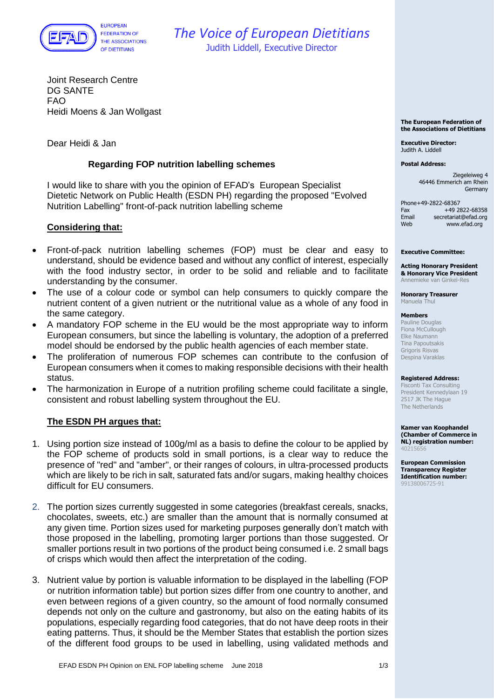

# *The Voice of European Dietitians* Judith Liddell, Executive Director

Joint Research Centre DG SANTE FAO Heidi Moens & Jan Wollgast

Dear Heidi & Jan

## **Regarding FOP nutrition labelling schemes**

I would like to share with you the opinion of EFAD's [European Specialist](http://www.efad.org/en-us/specialists-networks/public-health/)  [Dietetic Network on Public Health](http://www.efad.org/en-us/specialists-networks/public-health/) (ESDN PH) regarding the proposed "Evolved Nutrition Labelling" front-of-pack nutrition labelling scheme

### **Considering that:**

- Front-of-pack nutrition labelling schemes (FOP) must be clear and easy to understand, should be evidence based and without any conflict of interest, especially with the food industry sector, in order to be solid and reliable and to facilitate understanding by the consumer.
- The use of a colour code or symbol can help consumers to quickly compare the nutrient content of a given nutrient or the nutritional value as a whole of any food in the same category.
- A mandatory FOP scheme in the EU would be the most appropriate way to inform European consumers, but since the labelling is voluntary, the adoption of a preferred model should be endorsed by the public health agencies of each member state.
- The proliferation of numerous FOP schemes can contribute to the confusion of European consumers when it comes to making responsible decisions with their health status.
- The harmonization in Europe of a nutrition profiling scheme could facilitate a single, consistent and robust labelling system throughout the EU.

## **The ESDN PH argues that:**

- 1. Using portion size instead of 100g/ml as a basis to define the colour to be applied by the FOP scheme of products sold in small portions, is a clear way to reduce the presence of "red" and "amber", or their ranges of colours, in ultra-processed products which are likely to be rich in salt, saturated fats and/or sugars, making healthy choices difficult for EU consumers.
- 2. The portion sizes currently suggested in some categories (breakfast cereals, snacks, chocolates, sweets, etc.) are smaller than the amount that is normally consumed at any given time. Portion sizes used for marketing purposes generally don't match with those proposed in the labelling, promoting larger portions than those suggested. Or smaller portions result in two portions of the product being consumed i.e. 2 small bags of crisps which would then affect the interpretation of the coding.
- 3. Nutrient value by portion is valuable information to be displayed in the labelling (FOP or nutrition information table) but portion sizes differ from one country to another, and even between regions of a given country, so the amount of food normally consumed depends not only on the culture and gastronomy, but also on the eating habits of its populations, especially regarding food categories, that do not have deep roots in their eating patterns. Thus, it should be the Member States that establish the portion sizes of the different food groups to be used in labelling, using validated methods and

**The European Federation of the Associations of Dietitians**

**Executive Director:** Judith A. Liddell

**Postal Address:**

Ziegeleiweg 4 46446 Emmerich am Rhein Germany

Phone+49-2822-68367  $Fax +49 2822-68358$ <br>Fmail secretariat@efad.org Email secretariat@efad.org<br>Web www.efad.org www.efad.org

#### **Executive Committee:**

**Acting Honorary President & Honorary Vice President** Annemieke van Ginkel-Res

**Honorary Treasurer** Manuela Thul

#### **Members**

Pauline Douglas Fiona McCullough Elke Naumann Tina Papoutsakis Grigoris Risvas Despina Varaklas

#### **Registered Address:**

Fisconti Tax Consulting President Kennedylaan 19 2517 JK The Hague The Netherlands

**Kamer van Koophandel (Chamber of Commerce in NL) registration number:** 40215656

**European Commission Transparency Register Identification number:** 99138006725-91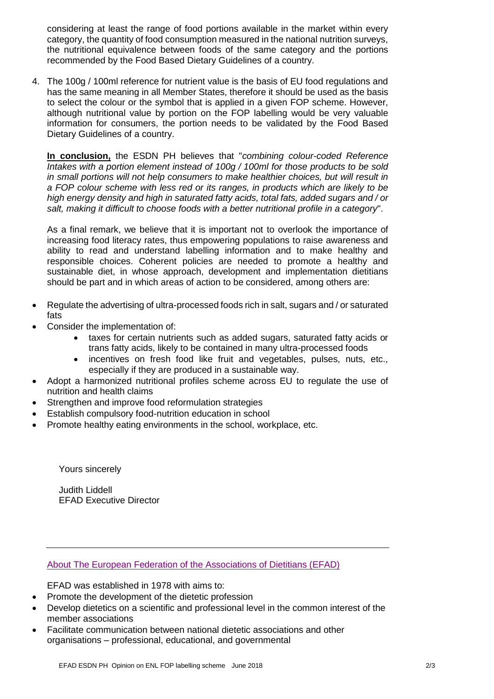considering at least the range of food portions available in the market within every category, the quantity of food consumption measured in the national nutrition surveys, the nutritional equivalence between foods of the same category and the portions recommended by the Food Based Dietary Guidelines of a country.

4. The 100g / 100ml reference for nutrient value is the basis of EU food regulations and has the same meaning in all Member States, therefore it should be used as the basis to select the colour or the symbol that is applied in a given FOP scheme. However, although nutritional value by portion on the FOP labelling would be very valuable information for consumers, the portion needs to be validated by the Food Based Dietary Guidelines of a country.

**In conclusion,** the ESDN PH believes that "*combining colour-coded Reference Intakes with a portion element instead of 100g / 100ml for those products to be sold in small portions will not help consumers to make healthier choices, but will result in a FOP colour scheme with less red or its ranges, in products which are likely to be high energy density and high in saturated fatty acids, total fats, added sugars and / or salt, making it difficult to choose foods with a better nutritional profile in a category*".

As a final remark, we believe that it is important not to overlook the importance of increasing food literacy rates, thus empowering populations to raise awareness and ability to read and understand labelling information and to make healthy and responsible choices. Coherent policies are needed to promote a healthy and sustainable diet, in whose approach, development and implementation dietitians should be part and in which areas of action to be considered, among others are:

- Regulate the advertising of ultra-processed foods rich in salt, sugars and / or saturated fats
- Consider the implementation of:
	- taxes for certain nutrients such as added sugars, saturated fatty acids or trans fatty acids, likely to be contained in many ultra-processed foods
	- incentives on fresh food like fruit and vegetables, pulses, nuts, etc., especially if they are produced in a sustainable way.
- Adopt a harmonized nutritional profiles scheme across EU to regulate the use of nutrition and health claims
- Strengthen and improve food reformulation strategies
- Establish compulsory food-nutrition education in school
- Promote healthy eating environments in the school, workplace, etc.

Yours sincerely

Judith Liddell EFAD Executive Director

## [About The European Federation of the Associations of Dietitians \(EFAD\)](http://www.efad.org/en-us/home/)

EFAD was established in 1978 with aims to:

- Promote the development of the dietetic profession
- Develop dietetics on a scientific and professional level in the common interest of the member associations
- Facilitate communication between national dietetic associations and other organisations – professional, educational, and governmental